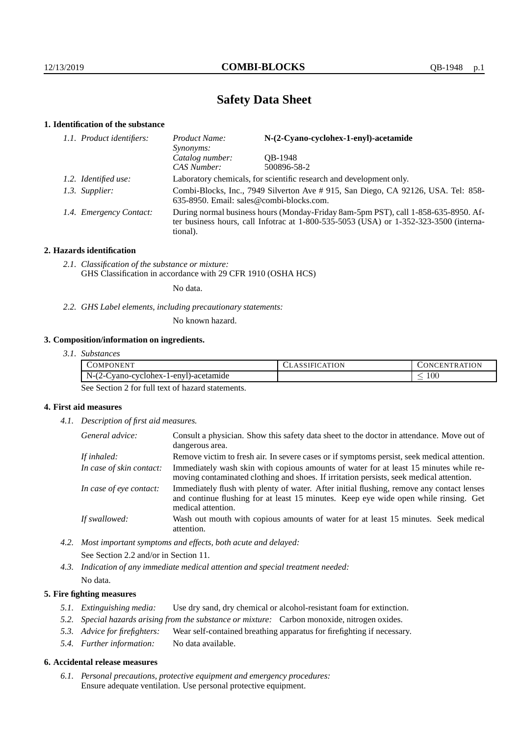# **Safety Data Sheet**

# **1. Identification of the substance**

| 1.1. Product identifiers: | N-(2-Cyano-cyclohex-1-enyl)-acetamide<br>Product Name:<br>Synonyms:                                                                                                                     |             |  |
|---------------------------|-----------------------------------------------------------------------------------------------------------------------------------------------------------------------------------------|-------------|--|
|                           | Catalog number:                                                                                                                                                                         | OB-1948     |  |
|                           | CAS Number:                                                                                                                                                                             | 500896-58-2 |  |
| 1.2. Identified use:      | Laboratory chemicals, for scientific research and development only.                                                                                                                     |             |  |
| 1.3. Supplier:            | Combi-Blocks, Inc., 7949 Silverton Ave # 915, San Diego, CA 92126, USA. Tel: 858-<br>635-8950. Email: sales@combi-blocks.com.                                                           |             |  |
| 1.4. Emergency Contact:   | During normal business hours (Monday-Friday 8am-5pm PST), call 1-858-635-8950. Af-<br>ter business hours, call Infotrac at 1-800-535-5053 (USA) or 1-352-323-3500 (interna-<br>tional). |             |  |

# **2. Hazards identification**

*2.1. Classification of the substance or mixture:* GHS Classification in accordance with 29 CFR 1910 (OSHA HCS)

No data.

*2.2. GHS Label elements, including precautionary statements:*

No known hazard.

# **3. Composition/information on ingredients.**

| 3.1. Substances |  |
|-----------------|--|
|                 |  |

| COMPONENT                                                        | <b>ATION</b><br>.51FL | ATION<br>DNCENT<br>`R A`I |
|------------------------------------------------------------------|-----------------------|---------------------------|
| $\sim$ $\sim$<br>$N-1$<br>vano-cyclohex-1-enyl)-acetamide<br>. ـ |                       | $100\,$<br>_              |

See Section 2 for full text of hazard statements.

# **4. First aid measures**

*4.1. Description of first aid measures.*

| General advice:          | Consult a physician. Show this safety data sheet to the doctor in attendance. Move out of<br>dangerous area.                                                                                            |
|--------------------------|---------------------------------------------------------------------------------------------------------------------------------------------------------------------------------------------------------|
| If inhaled:              | Remove victim to fresh air. In severe cases or if symptoms persist, seek medical attention.                                                                                                             |
| In case of skin contact: | Immediately wash skin with copious amounts of water for at least 15 minutes while re-<br>moving contaminated clothing and shoes. If irritation persists, seek medical attention.                        |
| In case of eye contact:  | Immediately flush with plenty of water. After initial flushing, remove any contact lenses<br>and continue flushing for at least 15 minutes. Keep eye wide open while rinsing. Get<br>medical attention. |
| If swallowed:            | Wash out mouth with copious amounts of water for at least 15 minutes. Seek medical<br>attention.                                                                                                        |

- *4.2. Most important symptoms and effects, both acute and delayed:* See Section 2.2 and/or in Section 11.
- *4.3. Indication of any immediate medical attention and special treatment needed:* No data.

## **5. Fire fighting measures**

- *5.1. Extinguishing media:* Use dry sand, dry chemical or alcohol-resistant foam for extinction.
- *5.2. Special hazards arising from the substance or mixture:* Carbon monoxide, nitrogen oxides.
- *5.3. Advice for firefighters:* Wear self-contained breathing apparatus for firefighting if necessary.
- *5.4. Further information:* No data available.

### **6. Accidental release measures**

*6.1. Personal precautions, protective equipment and emergency procedures:* Ensure adequate ventilation. Use personal protective equipment.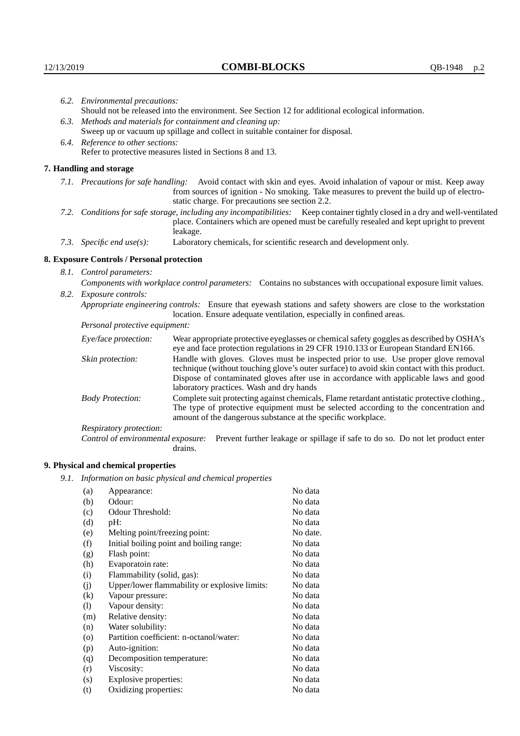| 6.2. Environmental precautions:                                                                               |                                                                                                                                                                                                                                                                                                                        |  |  |  |
|---------------------------------------------------------------------------------------------------------------|------------------------------------------------------------------------------------------------------------------------------------------------------------------------------------------------------------------------------------------------------------------------------------------------------------------------|--|--|--|
| Should not be released into the environment. See Section 12 for additional ecological information.            |                                                                                                                                                                                                                                                                                                                        |  |  |  |
| 6.3. Methods and materials for containment and cleaning up:                                                   |                                                                                                                                                                                                                                                                                                                        |  |  |  |
| Sweep up or vacuum up spillage and collect in suitable container for disposal.                                |                                                                                                                                                                                                                                                                                                                        |  |  |  |
|                                                                                                               |                                                                                                                                                                                                                                                                                                                        |  |  |  |
| Refer to protective measures listed in Sections 8 and 13.                                                     |                                                                                                                                                                                                                                                                                                                        |  |  |  |
| 7. Handling and storage                                                                                       |                                                                                                                                                                                                                                                                                                                        |  |  |  |
|                                                                                                               | 7.1. Precautions for safe handling: Avoid contact with skin and eyes. Avoid inhalation of vapour or mist. Keep away<br>from sources of ignition - No smoking. Take measures to prevent the build up of electro-<br>static charge. For precautions see section 2.2.                                                     |  |  |  |
|                                                                                                               | 7.2. Conditions for safe storage, including any incompatibilities: Keep container tightly closed in a dry and well-ventilated<br>place. Containers which are opened must be carefully resealed and kept upright to prevent<br>leakage.                                                                                 |  |  |  |
| 7.3. Specific end use(s):                                                                                     | Laboratory chemicals, for scientific research and development only.                                                                                                                                                                                                                                                    |  |  |  |
| 8. Exposure Controls / Personal protection                                                                    |                                                                                                                                                                                                                                                                                                                        |  |  |  |
| 8.1. Control parameters:                                                                                      |                                                                                                                                                                                                                                                                                                                        |  |  |  |
| Components with workplace control parameters: Contains no substances with occupational exposure limit values. |                                                                                                                                                                                                                                                                                                                        |  |  |  |
|                                                                                                               |                                                                                                                                                                                                                                                                                                                        |  |  |  |
|                                                                                                               | Appropriate engineering controls: Ensure that eyewash stations and safety showers are close to the workstation<br>location. Ensure adequate ventilation, especially in confined areas.                                                                                                                                 |  |  |  |
| Personal protective equipment:                                                                                |                                                                                                                                                                                                                                                                                                                        |  |  |  |
| Eye/face protection:                                                                                          | Wear appropriate protective eyeglasses or chemical safety goggles as described by OSHA's<br>eye and face protection regulations in 29 CFR 1910.133 or European Standard EN166.                                                                                                                                         |  |  |  |
| Skin protection:                                                                                              | Handle with gloves. Gloves must be inspected prior to use. Use proper glove removal<br>technique (without touching glove's outer surface) to avoid skin contact with this product.<br>Dispose of contaminated gloves after use in accordance with applicable laws and good<br>laboratory practices. Wash and dry hands |  |  |  |
| <b>Body Protection:</b>                                                                                       | Complete suit protecting against chemicals, Flame retardant antistatic protective clothing.,<br>The type of protective equipment must be selected according to the concentration and<br>amount of the dangerous substance at the specific workplace.                                                                   |  |  |  |
| Respiratory protection:                                                                                       |                                                                                                                                                                                                                                                                                                                        |  |  |  |
|                                                                                                               | 6.4. Reference to other sections:<br>8.2. Exposure controls:                                                                                                                                                                                                                                                           |  |  |  |

Control of environmental exposure: Prevent further leakage or spillage if safe to do so. Do not let product enter drains.

# **9. Physical and chemical properties**

*9.1. Information on basic physical and chemical properties*

| (a)                        | Appearance:                                   | No data  |
|----------------------------|-----------------------------------------------|----------|
| (b)                        | Odour:                                        | No data  |
| (c)                        | Odour Threshold:                              | No data  |
| (d)                        | pH:                                           | No data  |
| (e)                        | Melting point/freezing point:                 | No date. |
| (f)                        | Initial boiling point and boiling range:      | No data  |
| (g)                        | Flash point:                                  | No data  |
| (h)                        | Evaporatoin rate:                             | No data  |
| (i)                        | Flammability (solid, gas):                    | No data  |
| (j)                        | Upper/lower flammability or explosive limits: | No data  |
| $\left( k\right)$          | Vapour pressure:                              | No data  |
| $\left( \mathrm{l}\right)$ | Vapour density:                               | No data  |
| (m)                        | Relative density:                             | No data  |
| (n)                        | Water solubility:                             | No data  |
| $\circ$                    | Partition coefficient: n-octanol/water:       | No data  |
| (p)                        | Auto-ignition:                                | No data  |
| (q)                        | Decomposition temperature:                    | No data  |
| (r)                        | Viscosity:                                    | No data  |
| (s)                        | Explosive properties:                         | No data  |
| (t)                        | Oxidizing properties:                         | No data  |